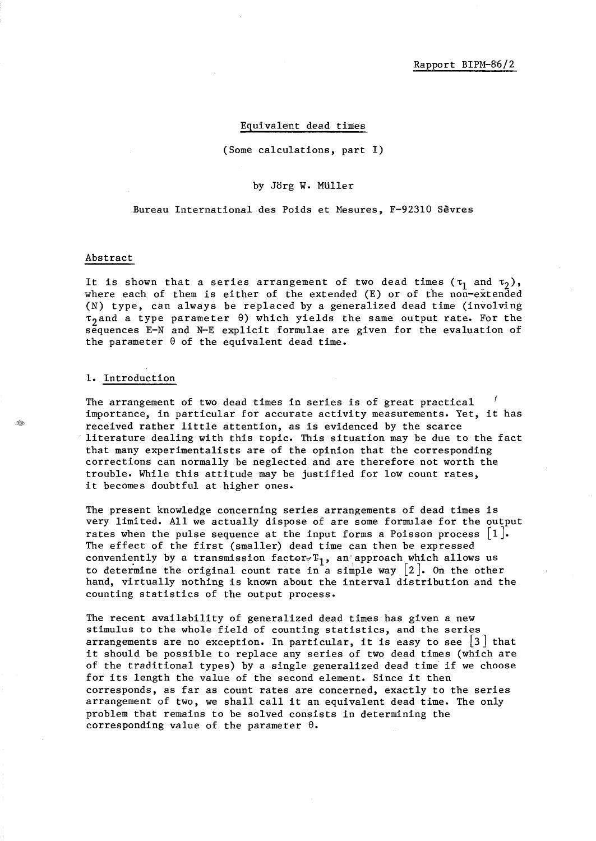#### Equivalent dead times

(Some calculations, part I)

### by Jorg W. MUller

Bureau International des Poids et Mesures, F-92310 Sevres

#### Abstract

It is shown that a series arrangement of two dead times ( $\tau_1$  and  $\tau_2$ ), where each of them is either of the extended (E) or of the non-extended (N) type, can always be replaced by a generalized dead time (involving  $\tau_2$  and a type parameter  $\theta$ ) which yields the same output rate. For the sequences E-N and N-E explicit formulae are given for the evaluation of the parameter  $\theta$  of the equivalent dead time.

### 1. Introduction

The arrangement of two dead times in series is of great practical importance, in particular for accurate activity measurements. Yet, it has received rather little attention, as is evidenced by the scarce literature dealing with this topic. This situation may be due to the fact that many experimentalists are of the opinion that the corresponding corrections can normally be neglected and are therefore not worth the trouble. While this attitude may be justified for low count rates, it becomes doubtful at higher ones.

The present knowledge concerning series arrangements of dead times is very limited. All we actually dispose of are some formulae for the output rates when the pulse sequence at the input forms a Poisson process  $\lfloor 1 \rfloor$ . The effect of the first (smaller) dead time can then be expressed conveniently by a transmission factor  $r_1$ , an approach which allows us to determine the original count rate in a simple way  $\lceil 2 \rceil$ . On the other hand, virtually nothing is known about the interval distribution and the counting statistics of the output process.

The recent availability of generalized dead times has given a new stimulus to the whole field of counting statistics, and the series arrangements are no exception. In particular, it is easy to see  $\lfloor 3 \rfloor$  that it should be possible to replace any series of two dead times (which are of the traditional types) by a single generalized dead time if we choose for its length the value of the second element. Since it then corresponds, as far as count rates are concerned, exactly to the series arrangement of two, we shall call it an equivalent dead time. The only problem that remains to be solved consists in determining the corresponding value of the parameter  $\theta$ .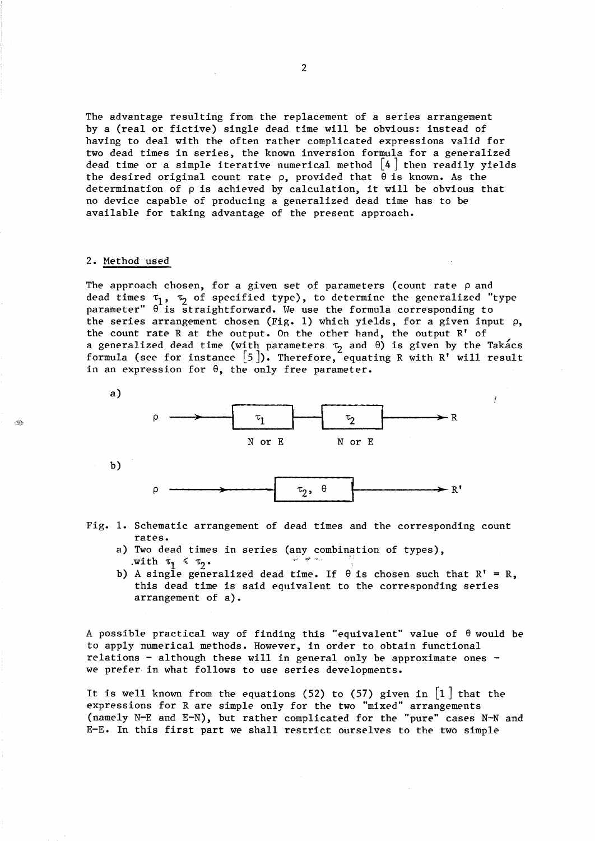The advantage resulting from the replacement of a series arrangement by a (real or fictive) single dead time will be obvious: instead of having to deal with the often rather complicated expressions valid for two dead times in series, the known inversion formula for a generalized dead time or a simple iterative numerical method  $\lceil 4 \rceil$  then readily yields the desired original count rate  $\rho$ , provided that  $\theta$  is known. As the determination of p is achieved by calculation, it will be obvious that no device capable of producing a generalized dead time has to be available for taking advantage of the present approach.

### 2. Method used

. Sep

The approach chosen, for a given set of parameters (count rate  $\rho$  and dead times  $\tau_1$ ,  $\tau_2$  of specified type), to determine the generalized "type parameter"  $\theta$  is straightforward. We use the formula corresponding to the series arrangement chosen (Fig. 1) which yields, for a given input  $\rho$ , the count rate R at the output. On the other hand, the output  $R'$  of a generalized dead time (with parameters  $\tau_2$  and  $\theta$ ) is given by the Takacs formula (see for instance  $[5]$ ). Therefore, equating R with R' will result in an expression for  $\theta$ , the only free parameter.

Ĭ





- a) Two dead times in series (any combination of types),<br> $\overline{H}$ ,  $\overline{H}$ ,  $\overline{H}$ ,  $\overline{H}$ ,  $\overline{H}$ ,  $\overline{H}$ ,  $\overline{H}$ ,  $\overline{H}$ ,  $\overline{H}$ ,  $\overline{H}$ ,  $\overline{H}$ ,  $\overline{H}$ ,  $\overline{H}$ ,  $\overline{H}$ ,  $\overline{H}$ ,  $\overline{H}$ ,  $\overline{$ .with  $\tau_1 ~\leqslant~ \tau_2$ .
- b) A single generalized dead time. If  $\theta$  is chosen such that R' = R, this dead time is said equivalent to the corresponding series arrangement of a).

A possible practical way of finding this "equivalent" value of  $\theta$  would be to apply numerical methods. However, in order to obtain functional relations - although these will in general only be approximate ones  $$ we prefer in what follows to use series developments.

It is well known from the equations (52) to (57) given in  $\lfloor 1 \rfloor$  that the expressions for R are simple only for the two "mixed" arrangements (namely N-E and E-N), but rather complicated for the "pure" cases N-N and E-E. In this first part we shall restrict ourselves to the two simple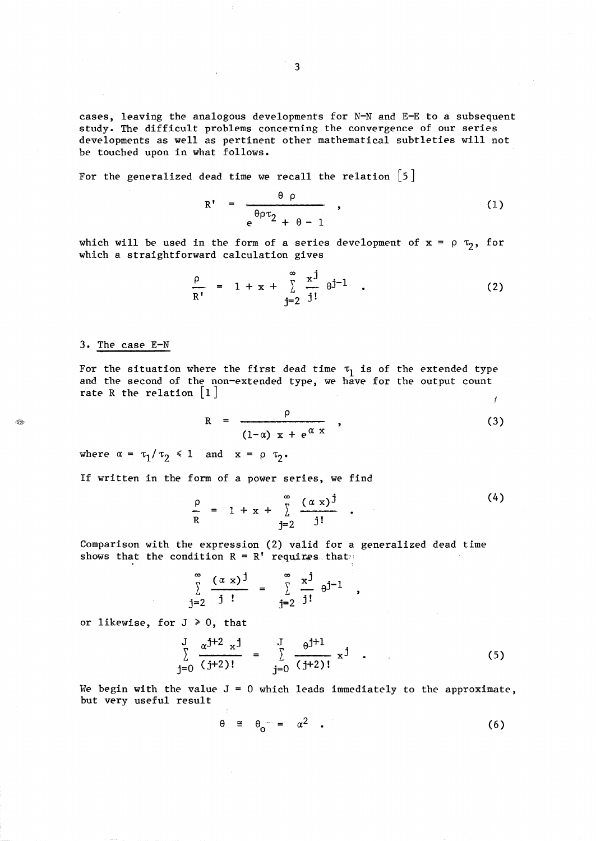cases, leaving the analogous developments for N-N and E-E to a subsequent study. The difficult problems concerning the convergence of our series developments as well as pertinent other mathematical subtleties will not be touched upon in what follows.

For the generalized dead time we recall the relation  $\lceil 5 \rceil$ 

$$
R' = \frac{\theta \rho}{e^{\theta \rho \tau_2} + \theta - 1} \qquad (1)
$$

which will be used in the form of a series development of  $x = \rho \tau_2$ , for which a straightforward calculation gives

$$
\frac{\rho}{R'} = 1 + x + \sum_{j=2}^{\infty} \frac{x^j}{j!} \theta^{j-1} .
$$
 (2)

## 3. The case E-N

For the situation where the first dead time  $\tau_1$  is of the extended type and the second of the non-extended type, we have for the output count rate R the relation  $\lfloor 1 \rfloor$ ł

$$
R = \frac{\rho}{(1-\alpha) x + e^{\alpha x}}, \qquad (3)
$$

where  $\alpha = \tau_1/\tau_2 \leq 1$  and  $x = \rho \tau_2$ .

If written in the form of a power series, we find

$$
\frac{\rho}{R} = 1 + x + \sum_{j=2}^{\infty} \frac{(\alpha x)^j}{j!} .
$$
 (4)

 $\overline{\phantom{a}}$ 

 $\overline{4}$   $\overline{4}$ 

Comparison with the expression (2) valid for a generalized dead time shows that the condition  $R = R'$  requires that:

$$
\sum_{j=2}^{\infty} \frac{(\alpha x)^{j}}{j!} = \sum_{j=2}^{\infty} \frac{x^{j}}{j!} \theta^{j-1}
$$

or likewise, for  $J \ge 0$ , that

$$
\sum_{j=0}^{J} \frac{\alpha^{j+2} x^{j}}{(j+2)!} = \sum_{j=0}^{J} \frac{\theta^{j+1}}{(j+2)!} x^{j}
$$
 (5)

We begin with the value  $J = 0$  which leads immediately to the approximate, but very useful result

$$
\theta \quad \cong \quad \theta_{\mathbf{O}} \qquad = \quad \alpha^2 \quad . \tag{6}
$$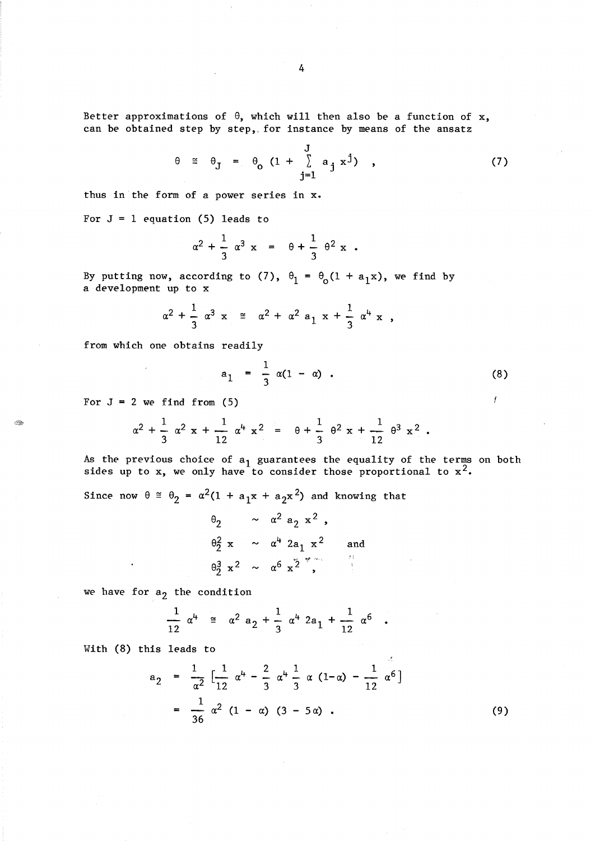Better approximations of  $\theta$ , which will then also be a function of x, can be obtained step by step, for instance by means of the ansatz

$$
\theta \cong \theta_{J} = \theta_{o} \left(1 + \sum_{j=1}^{J} a_{j} x^{j}\right) , \qquad (7)
$$

thus in the form of a power series in x.

For  $J = 1$  equation (5) leads to

$$
\alpha^2 + \frac{1}{3} \alpha^3 x = \theta + \frac{1}{3} \theta^2 x
$$
.

By putting now, according to (7),  $\theta_1 = \theta_0 (1 + a_1 x)$ , we find by a development up to x

$$
\alpha^2 + \frac{1}{3} \alpha^3 x \approx \alpha^2 + \alpha^2 a_1 x + \frac{1}{3} \alpha^4 x
$$

from which one obtains readily

$$
a_1 = \frac{1}{3} \alpha (1 - \alpha) \tag{8}
$$

For  $J = 2$  we find from (5)

E.

$$
\alpha^2 + \frac{1}{3} \alpha^2 x + \frac{1}{12} \alpha^4 x^2 = \theta + \frac{1}{3} \theta^2 x + \frac{1}{12} \theta^3 x^2.
$$

As the previous choice of  $a_1$  guarantees the equality of the terms on both sides up to x, we only have to consider those proportional to  $x^2$ .

Since now  $\theta \cong \theta_2 = \alpha^2 (1 + a_1 x + a_2 x^2)$  and knowing that

$$
\theta_2 \sim \alpha^2 a_2 x^2,
$$
  
\n
$$
\theta_2^2 x \sim \alpha^4 2a_1 x^2
$$
 and  
\n
$$
\theta_2^3 x^2 \sim \alpha^6 x^2,
$$

we have for  $a_2$  the condition

$$
\frac{1}{12} \alpha^{4} \equiv \alpha^{2} a_{2} + \frac{1}{3} \alpha^{4} 2a_{1} + \frac{1}{12} \alpha^{6} .
$$

With (8) this leads to

 $\ddot{\phantom{a}}$ 

$$
a_2 = \frac{1}{\alpha^2} \left[ \frac{1}{12} \alpha^4 - \frac{2}{3} \alpha^4 \frac{1}{3} \alpha (1-\alpha) - \frac{1}{12} \alpha^6 \right]
$$
  
= 
$$
\frac{1}{36} \alpha^2 (1-\alpha) (3-5\alpha).
$$
 (9)

 $\mathcal{L}$ 

 $\mathcal{I}$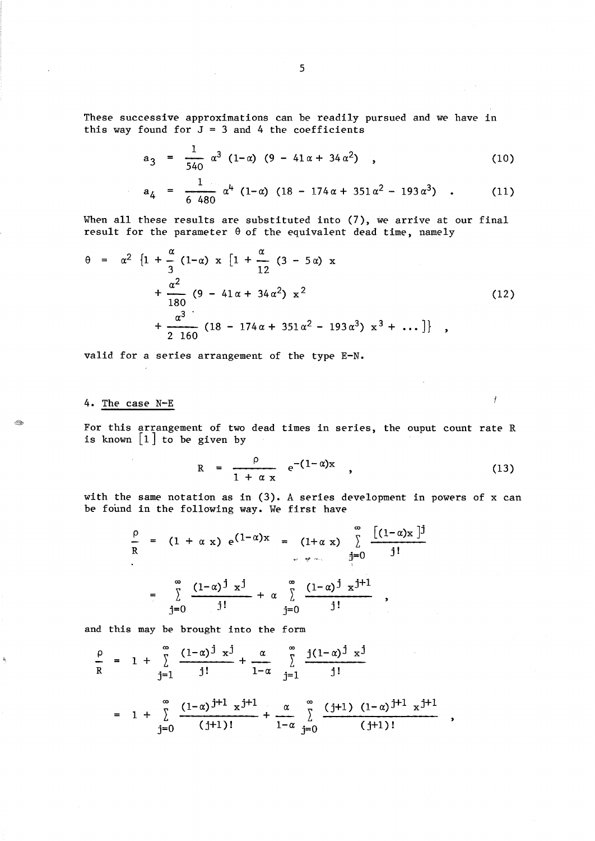These successive approximations can be readily pursued and we have in this way found for  $J = 3$  and 4 the coefficients

$$
a_3 = \frac{1}{540} \alpha^3 (1-\alpha) (9 - 41\alpha + 34\alpha^2) , \qquad (10)
$$

$$
a_4 = \frac{1}{6\ 480} \alpha^4 (1-\alpha) (18-174\alpha+351\alpha^2-193\alpha^3) \quad . \tag{11}
$$

When all these results are substituted into (7), we arrive at our final result for the parameter  $\theta$  of the equivalent dead time, namely

$$
\theta = \alpha^{2} \left\{ 1 + \frac{\alpha}{3} (1-\alpha) \times \left[ 1 + \frac{\alpha}{12} (3 - 5\alpha) \times \frac{\alpha^{2}}{12} \right] + \frac{\alpha^{2}}{180} (9 - 41\alpha + 34\alpha^{2}) \times \frac{1}{2} \right\}
$$
\n
$$
+ \frac{\alpha^{3}}{2 \cdot 160} (18 - 174\alpha + 351\alpha^{2} - 193\alpha^{3}) \times \frac{3}{2} + \dots \right\} ,
$$
\n(12)

valid for a series arrangement of the type E-N.

 $\sim$   $\sim$ 

# 4. The case N-E

 $\sim$ 

For this arrangement of two dead times in series, the ouput count rate R is known  $\begin{bmatrix} 1 \end{bmatrix}$  to be given by

$$
R = \frac{\rho}{1 + \alpha x} e^{-(1 - \alpha)x}, \qquad (13)
$$

 $\sim$ 

 $\overline{\phantom{a}}$ 

 $\boldsymbol{f}$ 

with the same notation as in (3). A series development in powers of x can be found in the following way. We first have

$$
\frac{\rho}{R} = (1 + \alpha x) e^{(1-\alpha)x} = (1 + \alpha x) \sum_{j=0}^{\infty} \frac{[(1-\alpha)x]^j}{j!}
$$
  
= 
$$
\sum_{j=0}^{\infty} \frac{(1-\alpha)^j x^j}{j!} + \alpha \sum_{j=0}^{\infty} \frac{(1-\alpha)^j x^{j+1}}{j!}
$$

and this may be brought into the form

$$
\frac{\rho}{R} = 1 + \sum_{j=1}^{\infty} \frac{(1-\alpha)^j x^j}{j!} + \frac{\alpha}{1-\alpha} \sum_{j=1}^{\infty} \frac{j(1-\alpha)^j x^j}{j!}
$$
  
=  $1 + \sum_{j=0}^{\infty} \frac{(1-\alpha)^{j+1} x^{j+1}}{(j+1)!} + \frac{\alpha}{1-\alpha} \sum_{j=0}^{\infty} \frac{(j+1) (1-\alpha)^{j+1} x^{j+1}}{(j+1)!}$ 

Â.

 $\mathbf{b}$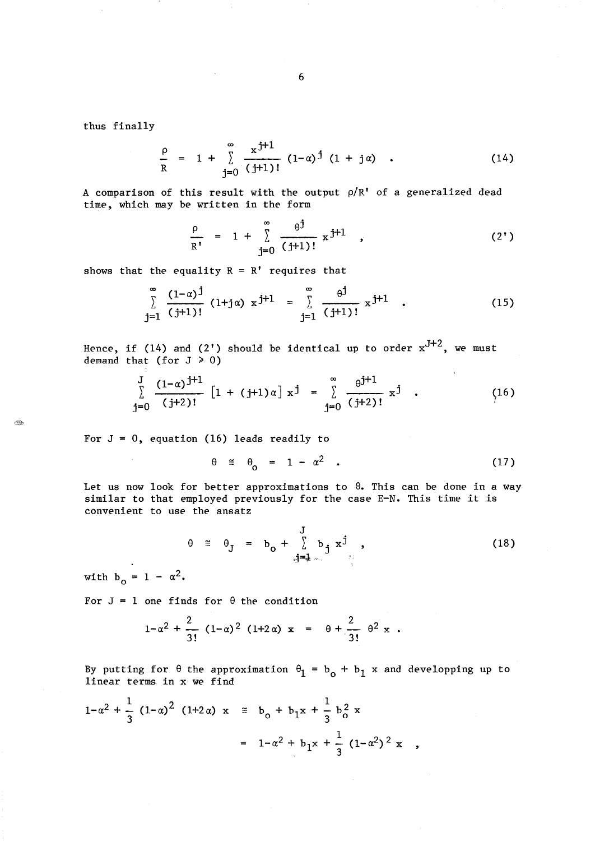thus finally

$$
\frac{\rho}{R} = 1 + \sum_{i=0}^{\infty} \frac{x^{j+1}}{(j+1)!} (1-\alpha)^{j} (1+j\alpha) . \qquad (14)
$$

A comparison of this result with the output  $\rho/R'$  of a generalized dead time, which may be written in the form

$$
\frac{\rho}{R'} = 1 + \sum_{j=0}^{\infty} \frac{\theta^{j}}{(j+1)!} x^{j+1} , \qquad (2')
$$

shows that the equality  $R = R'$  requires that

$$
\sum_{j=1}^{\infty} \frac{(1-\alpha)^j}{(j+1)!} (1+j\alpha) x^{j+1} = \sum_{j=1}^{\infty} \frac{\theta^j}{(j+1)!} x^{j+1} .
$$
 (15)

Hence, if (14) and (2') should be identical up to order  $x^{J+2}$ , we must demand that (for  $J \ge 0$ )

$$
\sum_{j=0}^{J} \frac{(1-\alpha)^{j+1}}{(j+2)!} \left[1 + (j+1)\alpha\right] x^{j} = \sum_{j=0}^{\infty} \frac{\theta^{j+1}}{(j+2)!} x^{j} . \qquad (16)
$$

For  $J = 0$ , equation (16) leads readily to

$$
\theta \cong \theta_{0} = 1 - \alpha^{2} \tag{17}
$$

Let us now look for better approximations to  $\theta$ . This can be done in a way similar to that employed previously for the case E-N. This time it is convenient to use the ansatz

$$
\theta \cong \theta_{J} = b_{0} + \sum_{j=1}^{J} b_{j} x^{j}, \qquad (18)
$$

with  $b_0 = 1 - \alpha^2$ .

For  $J = 1$  one finds for  $\theta$  the condition

$$
1-\alpha^2 + \frac{2}{3!} (1-\alpha)^2 (1+2\alpha) x = \theta + \frac{2}{3!} \theta^2 x
$$
.

By putting for  $\theta$  the approximation  $\theta_1 = b_o + b_1$  x and developping up to linear terms. in x we find

$$
1 - \alpha^2 + \frac{1}{3} (1 - \alpha)^2 (1 + 2\alpha) x \leq b_0 + b_1 x + \frac{1}{3} b_0^2 x
$$
  
=  $1 - \alpha^2 + b_1 x + \frac{1}{3} (1 - \alpha^2)^2 x$ 

 $\mathbb{Z}_p$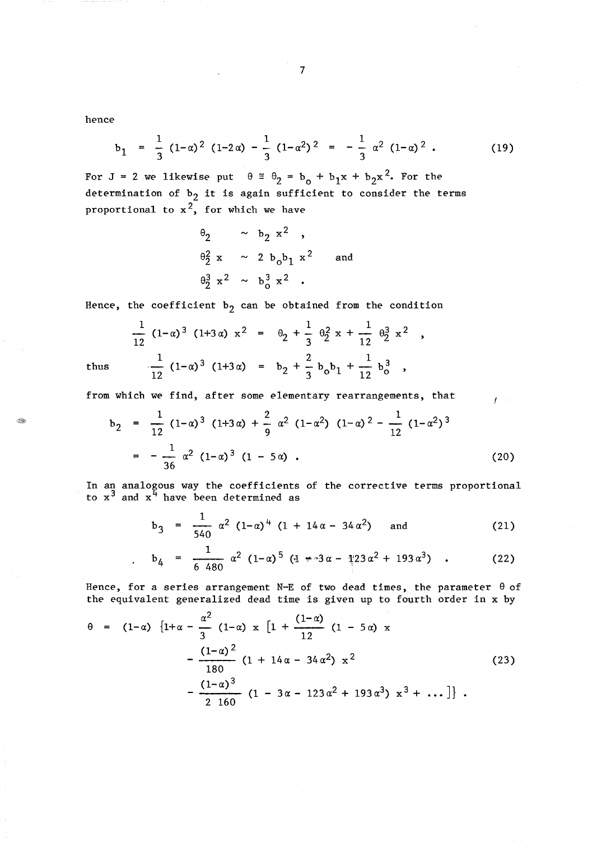hence

$$
b_1 = \frac{1}{3} (1-\alpha)^2 (1-2\alpha) - \frac{1}{3} (1-\alpha^2)^2 = -\frac{1}{3} \alpha^2 (1-\alpha)^2.
$$
 (19)

For J = 2 we likewise put  $\theta = \theta_2 = b_o + b_1x + b_2x^2$ . For the determination of  $b_2$  it is again sufficient to consider the terms proportional to  $x^2$ , for which we have

$$
\theta_2 \sim b_2 x^2 ,
$$
  
\n
$$
\theta_2^2 x \sim 2 b_0 b_1 x^2
$$
 and  
\n
$$
\theta_2^3 x^2 \sim b_0^3 x^2 .
$$

Hence, the coefficient  $b_2$  can be obtained from the condition

Hence, the coefficient b<sub>2</sub> can be obtained from the condition  
\n
$$
\frac{1}{12} (1-\alpha)^3 (1+3\alpha) x^2 = \theta_2 + \frac{1}{3} \theta_2^2 x + \frac{1}{12} \theta_2^3 x^2,
$$
\nthus  
\n
$$
\frac{1}{12} (1-\alpha)^3 (1+3\alpha) = b_2 + \frac{2}{3} b_0 b_1 + \frac{1}{12} b_0^3,
$$
\nfrom which we find, after some elementary rearrangements, that  
\n
$$
b_2 = \frac{1}{12} (1-\alpha)^3 (1+3\alpha) + \frac{2}{9} \alpha^2 (1-\alpha^2) (1-\alpha)^2 - \frac{1}{12} (1-\alpha^2)^3
$$

Ê.

from which we find, after some elementary rearrangements, that

$$
b_2 = \frac{1}{12} (1-\alpha)^3 (1+3\alpha) + \frac{2}{9} \alpha^2 (1-\alpha^2) (1-\alpha)^2 - \frac{1}{12} (1-\alpha^2)^3
$$
  
= 
$$
-\frac{1}{36} \alpha^2 (1-\alpha)^3 (1-5\alpha) .
$$
 (20)

In an analogous way the coefficients of the corrective terms proportional to  $x^3$  and  $x^4$  have been determined as

$$
b_3 = \frac{1}{540} \alpha^2 (1-\alpha)^4 (1 + 14\alpha - 34\alpha^2) \quad \text{and} \quad (21)
$$

 $\mathbf{f}$  :

$$
b_4 = \frac{1}{6\ 480} \alpha^2 (1-\alpha)^5 (4+\alpha^3 \alpha - 1^2 23 \alpha^2 + 193 \alpha^3) \quad . \tag{22}
$$

Hence, for a series arrangement N-E of two dead times, the parameter  $\theta$  of

the equivalent generalized dead time is given up to fourth order in x by  
\n
$$
\theta = (1-\alpha) \{1+\alpha - \frac{\alpha^2}{3} (1-\alpha) x [1 + \frac{(1-\alpha)}{12} (1 - 5\alpha) x - \frac{(1-\alpha)^2}{180} (1 + 14\alpha - 34\alpha^2) x^2 - \frac{(1-\alpha)^3}{2160} (1 - 3\alpha - 123\alpha^2 + 193\alpha^3) x^3 + ... \}.
$$
\n(23)